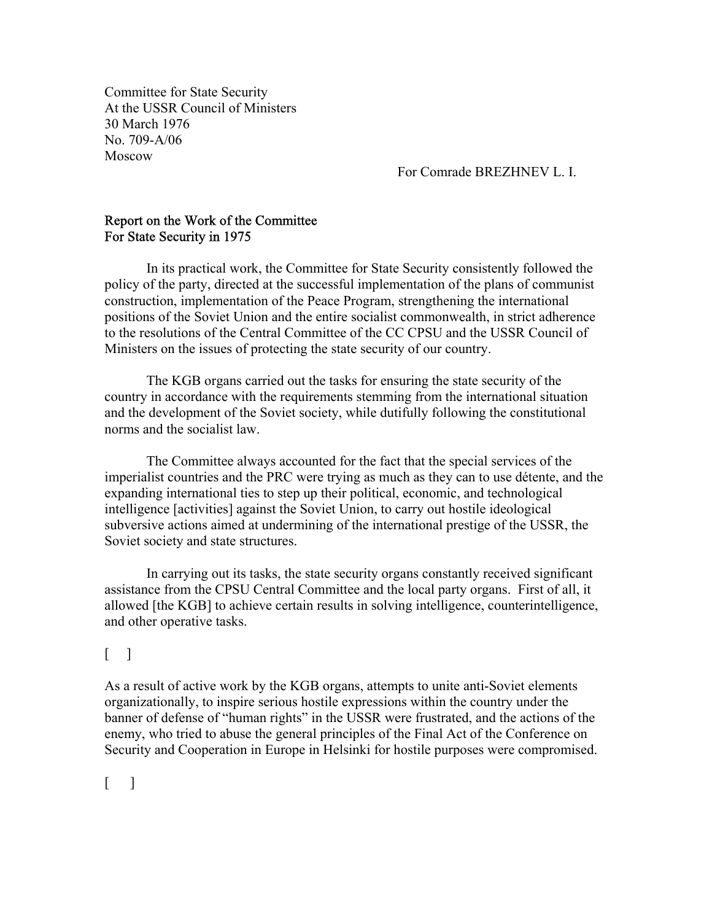Committee for State Security At the USSR Council of Ministers 30 March 1976 No. 709-A/06 Moscow

For Comrade BREZHNEV L. I.

## Report on the Work of the Committee For State Security in 1975

 In its practical work, the Committee for State Security consistently followed the policy of the party, directed at the successful implementation of the plans of communist construction, implementation of the Peace Program, strengthening the international positions of the Soviet Union and the entire socialist commonwealth, in strict adherence to the resolutions of the Central Committee of the CC CPSU and the USSR Council of Ministers on the issues of protecting the state security of our country.

 The KGB organs carried out the tasks for ensuring the state security of the country in accordance with the requirements stemming from the international situation and the development of the Soviet society, while dutifully following the constitutional norms and the socialist law.

 The Committee always accounted for the fact that the special services of the imperialist countries and the PRC were trying as much as they can to use détente, and the expanding international ties to step up their political, economic, and technological intelligence [activities] against the Soviet Union, to carry out hostile ideological subversive actions aimed at undermining of the international prestige of the USSR, the Soviet society and state structures.

 In carrying out its tasks, the state security organs constantly received significant assistance from the CPSU Central Committee and the local party organs. First of all, it allowed [the KGB] to achieve certain results in solving intelligence, counterintelligence, and other operative tasks.

## $\lceil$

As a result of active work by the KGB organs, attempts to unite anti-Soviet elements organizationally, to inspire serious hostile expressions within the country under the banner of defense of "human rights" in the USSR were frustrated, and the actions of the enemy, who tried to abuse the general principles of the Final Act of the Conference on Security and Cooperation in Europe in Helsinki for hostile purposes were compromised.

 $\lceil$   $\rceil$